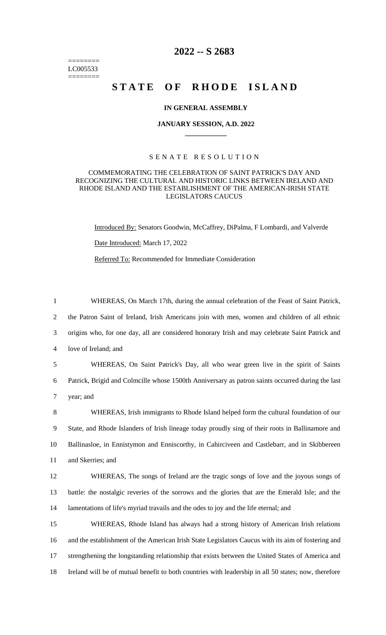======== LC005533 ========

# **2022 -- S 2683**

# **STATE OF RHODE ISLAND**

### **IN GENERAL ASSEMBLY**

#### **JANUARY SESSION, A.D. 2022 \_\_\_\_\_\_\_\_\_\_\_\_**

# S E N A T E R E S O L U T I O N

# COMMEMORATING THE CELEBRATION OF SAINT PATRICK'S DAY AND RECOGNIZING THE CULTURAL AND HISTORIC LINKS BETWEEN IRELAND AND RHODE ISLAND AND THE ESTABLISHMENT OF THE AMERICAN-IRISH STATE LEGISLATORS CAUCUS

Introduced By: Senators Goodwin, McCaffrey, DiPalma, F Lombardi, and Valverde Date Introduced: March 17, 2022 Referred To: Recommended for Immediate Consideration

 WHEREAS, On March 17th, during the annual celebration of the Feast of Saint Patrick, the Patron Saint of Ireland, Irish Americans join with men, women and children of all ethnic origins who, for one day, all are considered honorary Irish and may celebrate Saint Patrick and love of Ireland; and WHEREAS, On Saint Patrick's Day, all who wear green live in the spirit of Saints

6 Patrick, Brigid and Colmcille whose 1500th Anniversary as patron saints occurred during the last 7 year; and

 WHEREAS, Irish immigrants to Rhode Island helped form the cultural foundation of our State, and Rhode Islanders of Irish lineage today proudly sing of their roots in Ballinamore and Ballinasloe, in Ennistymon and Enniscorthy, in Cahirciveen and Castlebarr, and in Skibbereen and Skerries; and

12 WHEREAS, The songs of Ireland are the tragic songs of love and the joyous songs of 13 battle: the nostalgic reveries of the sorrows and the glories that are the Emerald Isle; and the 14 lamentations of life's myriad travails and the odes to joy and the life eternal; and

 WHEREAS, Rhode Island has always had a strong history of American Irish relations and the establishment of the American Irish State Legislators Caucus with its aim of fostering and strengthening the longstanding relationship that exists between the United States of America and Ireland will be of mutual benefit to both countries with leadership in all 50 states; now, therefore